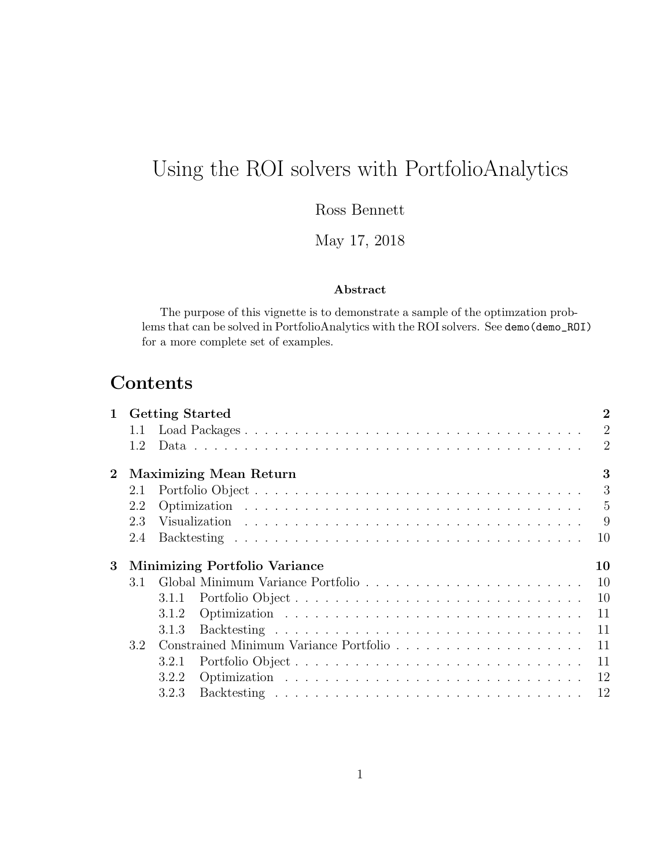# Using the ROI solvers with PortfolioAnalytics

Ross Bennett

May 17, 2018

#### Abstract

The purpose of this vignette is to demonstrate a sample of the optimzation problems that can be solved in PortfolioAnalytics with the ROI solvers. See demo(demo\_ROI) for a more complete set of examples.

# Contents

| $\mathbf 1$      | <b>Getting Started</b>                     |       |                  |                |  |  |  |  |  |
|------------------|--------------------------------------------|-------|------------------|----------------|--|--|--|--|--|
|                  |                                            |       |                  | $\overline{2}$ |  |  |  |  |  |
|                  | 1.2                                        |       |                  | $\overline{2}$ |  |  |  |  |  |
| $\boldsymbol{2}$ | 3<br><b>Maximizing Mean Return</b>         |       |                  |                |  |  |  |  |  |
|                  | 2.1                                        |       |                  | 3              |  |  |  |  |  |
|                  | 2.2                                        |       |                  | $\overline{5}$ |  |  |  |  |  |
|                  | 2.3                                        |       |                  | 9              |  |  |  |  |  |
|                  | 2.4                                        |       |                  | 10             |  |  |  |  |  |
| 3 <sup>1</sup>   | 10<br><b>Minimizing Portfolio Variance</b> |       |                  |                |  |  |  |  |  |
|                  | 3.1                                        |       |                  | <sup>10</sup>  |  |  |  |  |  |
|                  |                                            | 3.1.1 | Portfolio Object | 10             |  |  |  |  |  |
|                  |                                            | 3.1.2 |                  | 11             |  |  |  |  |  |
|                  |                                            | 3.1.3 |                  | 11             |  |  |  |  |  |
|                  | 3.2                                        |       |                  | 11             |  |  |  |  |  |
|                  |                                            | 3.2.1 |                  | 11             |  |  |  |  |  |
|                  |                                            | 3.2.2 |                  | 12             |  |  |  |  |  |
|                  |                                            | 3.2.3 |                  | 12             |  |  |  |  |  |
|                  |                                            |       |                  |                |  |  |  |  |  |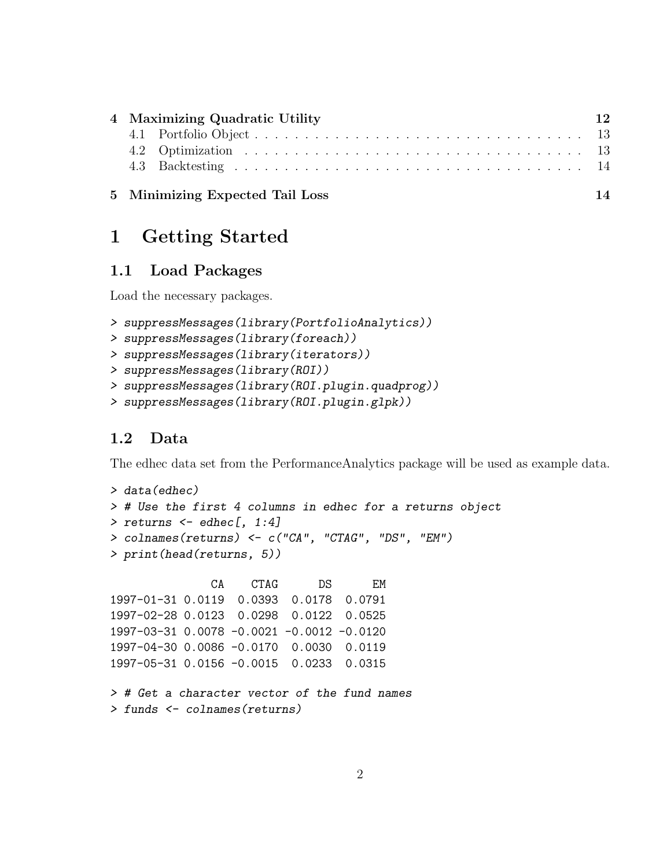| 4 Maximizing Quadratic Utility | 12                              |    |  |
|--------------------------------|---------------------------------|----|--|
|                                |                                 |    |  |
|                                |                                 |    |  |
|                                |                                 |    |  |
|                                | 5 Minimizing Expected Tail Loss | 14 |  |

# 1 Getting Started

### 1.1 Load Packages

Load the necessary packages.

```
> suppressMessages(library(PortfolioAnalytics))
```

```
> suppressMessages(library(foreach))
```

```
> suppressMessages(library(iterators))
```

```
> suppressMessages(library(ROI))
```

```
> suppressMessages(library(ROI.plugin.quadprog))
```

```
> suppressMessages(library(ROI.plugin.glpk))
```
## 1.2 Data

The edhec data set from the PerformanceAnalytics package will be used as example data.

```
> data(edhec)
> # Use the first 4 columns in edhec for a returns object
> returns \leq edhec[, 1:4]
> colnames(returns) <- c("CA", "CTAG", "DS", "EM")
> print(head(returns, 5))
```
CA CTAG DS EM 1997-01-31 0.0119 0.0393 0.0178 0.0791 1997-02-28 0.0123 0.0298 0.0122 0.0525 1997-03-31 0.0078 -0.0021 -0.0012 -0.0120 1997-04-30 0.0086 -0.0170 0.0030 0.0119 1997-05-31 0.0156 -0.0015 0.0233 0.0315

```
> # Get a character vector of the fund names
> funds <- colnames(returns)
```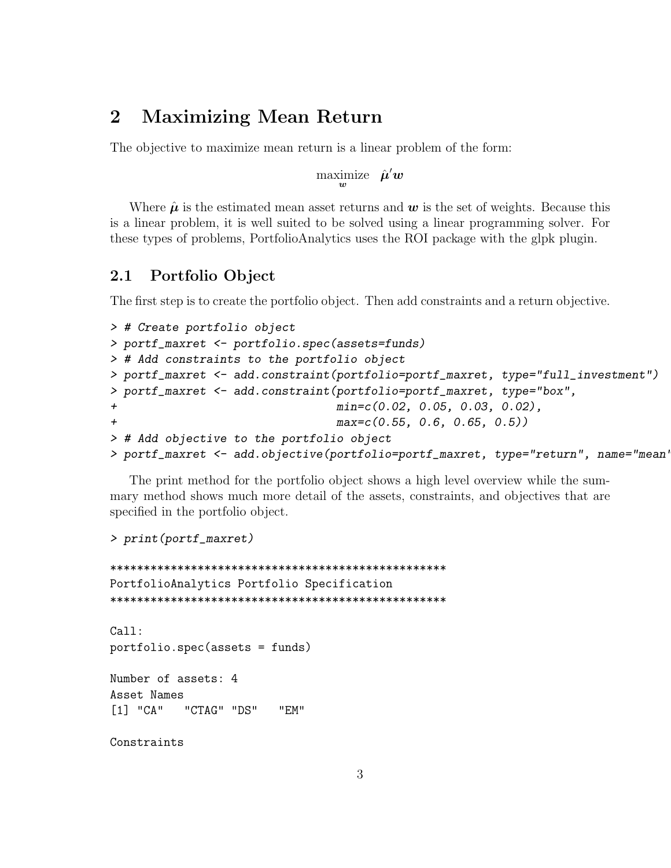## 2 Maximizing Mean Return

The objective to maximize mean return is a linear problem of the form:

maximize  $\hat{\boldsymbol{\mu}}' \boldsymbol{w}$ 

Where  $\hat{\mu}$  is the estimated mean asset returns and  $w$  is the set of weights. Because this is a linear problem, it is well suited to be solved using a linear programming solver. For these types of problems, PortfolioAnalytics uses the ROI package with the glpk plugin.

### 2.1 Portfolio Object

The first step is to create the portfolio object. Then add constraints and a return objective.

```
> # Create portfolio object
> portf_maxret <- portfolio.spec(assets=funds)
> # Add constraints to the portfolio object
> portf_maxret <- add.constraint(portfolio=portf_maxret, type="full_investment")
> portf_maxret <- add.constraint(portfolio=portf_maxret, type="box",
+ min=c(0.02, 0.05, 0.03, 0.02),
+ max=c(0.55, 0.6, 0.65, 0.5))
> # Add objective to the portfolio object
> portf_maxret <- add.objective(portfolio=portf_maxret, type="return", name="mean'
```
The print method for the portfolio object shows a high level overview while the summary method shows much more detail of the assets, constraints, and objectives that are specified in the portfolio object.

#### > print(portf\_maxret)

```
**************************************************
PortfolioAnalytics Portfolio Specification
**************************************************
Ca11:portfolio.spec(assets = funds)
Number of assets: 4
Asset Names
[1] "CA" "CTAG" "DS" "EM"
```
Constraints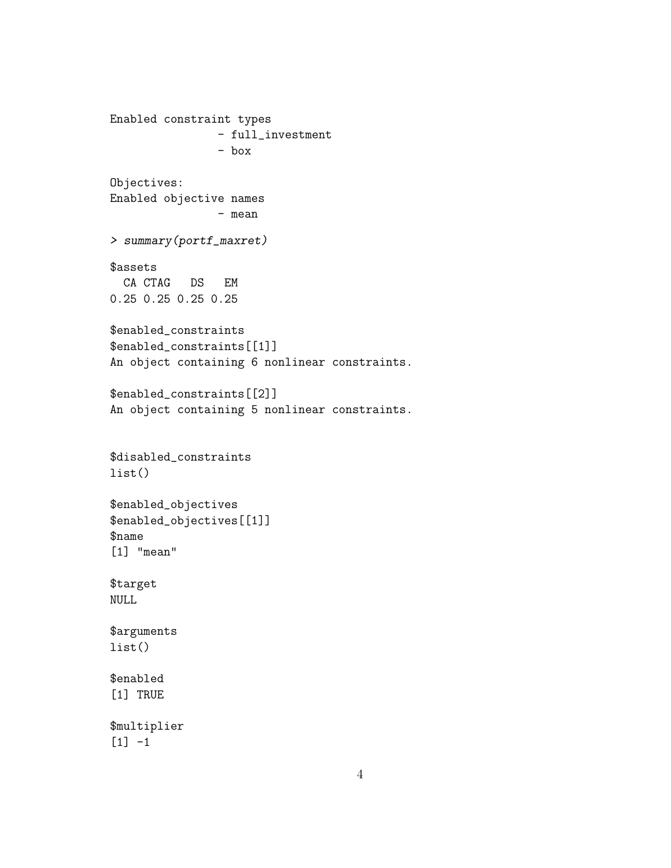```
Enabled constraint types
                - full_investment
                - box
Objectives:
Enabled objective names
                - mean
> summary(portf_maxret)
$assets
 CA CTAG DS EM
0.25 0.25 0.25 0.25
$enabled_constraints
$enabled_constraints[[1]]
An object containing 6 nonlinear constraints.
$enabled_constraints[[2]]
An object containing 5 nonlinear constraints.
$disabled_constraints
list()
$enabled_objectives
$enabled_objectives[[1]]
$name
[1] "mean"
$target
NULL
$arguments
list()
$enabled
[1] TRUE
$multiplier
[1] -1
```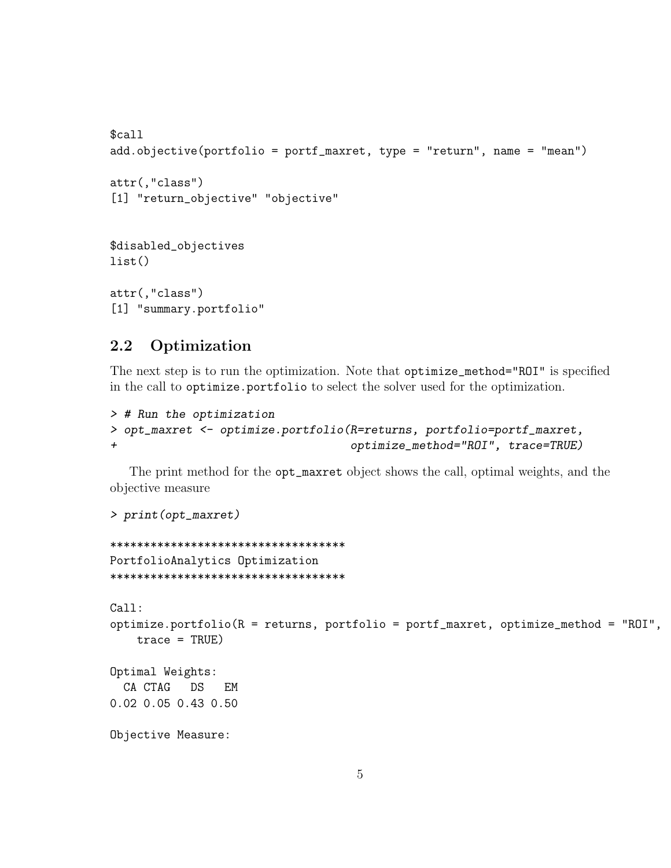```
$cal1add.objective(portfolio = portf_maxret, type = "return", name = "mean")
attr(,"class")
[1] "return_objective" "objective"
$disabled_objectives
list()attr(,"class")
[1] "summary.portfolio"
```
#### $2.2$ Optimization

The next step is to run the optimization. Note that optimize\_method="ROI" is specified in the call to optimize. portfolio to select the solver used for the optimization.

```
> # Run the optimization
> opt_maxret <- optimize.portfolio(R=returns, portfolio=portf_maxret,
                                   optimize_method="ROI", trace=TRUE)
+
```
The print method for the opt\_maxret object shows the call, optimal weights, and the objective measure

```
> print(opt_maxret)
```

```
***********************************
PortfolioAnalytics Optimization
***********************************
Call:
optimize.portfolio(R = returns, portfolio = portf_maxret, optimize_method = "ROI",
    trace = TRUE)
Optimal Weights:
  CA CTAG
          DSEM
0.02 0.05 0.43 0.50
Objective Measure:
```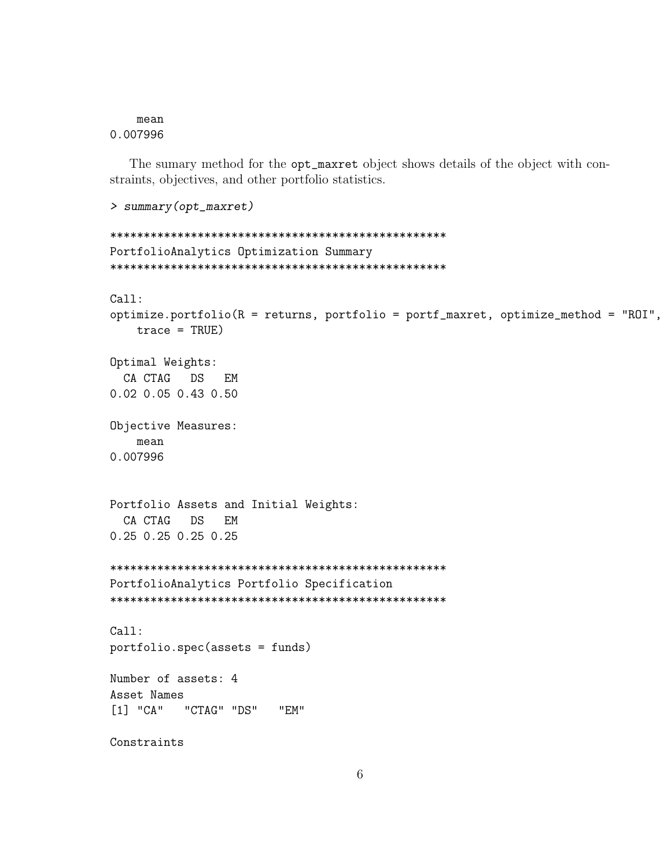mean 0.007996

The sumary method for the opt\_maxret object shows details of the object with constraints, objectives, and other portfolio statistics.

```
> summary(opt_maxret)
PortfolioAnalytics Optimization Summary
Ca11:optimize.portfolio(R =returns, portfolio = portf_maxret, optimize_method = "ROI",
  trace = TRUE)Optimal Weights:
 CA CTAG
        DS
           EM
0.02 0.05 0.43 0.50
Objective Measures:
  mean
0.007996
Portfolio Assets and Initial Weights:
 CA CTAG
        DSEM
0.25 0.25 0.25 0.25PortfolioAnalytics Portfolio Specification
Call:portfolio.spec(assets = funds)
Number of assets: 4
Asset Names
[1] "CA" "CTAG" "DS"
                "F.M"
Constraints
```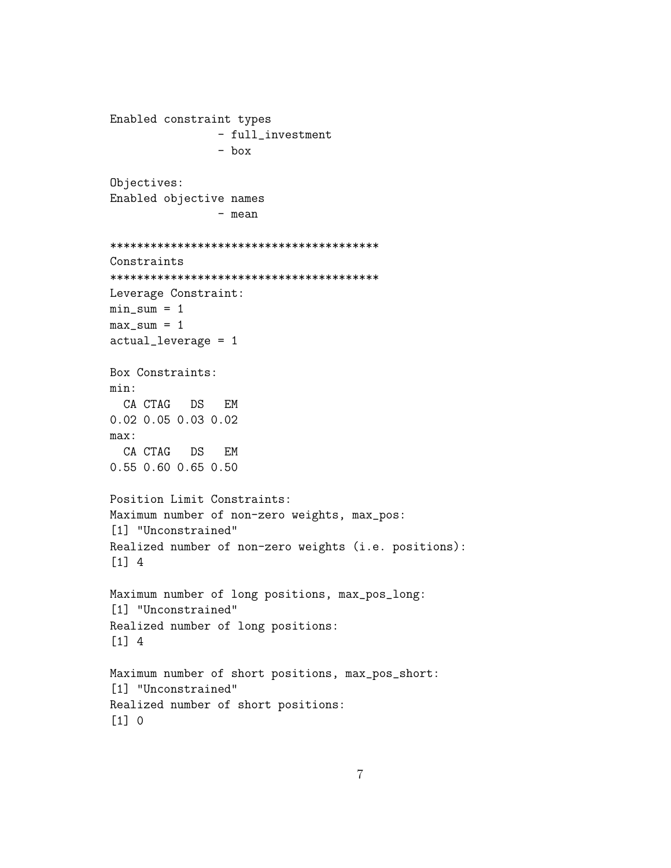```
Enabled constraint types
                - full_investment
                - box
Objectives:
Enabled objective names
                - mean
****************************************
Constraints
****************************************
Leverage Constraint:
min\_sum = 1max\_sum = 1actual_leverage = 1
Box Constraints:
min:
 CA CTAG DS EM
0.02 0.05 0.03 0.02
max:
 CA CTAG DS EM
0.55 0.60 0.65 0.50
Position Limit Constraints:
Maximum number of non-zero weights, max_pos:
[1] "Unconstrained"
Realized number of non-zero weights (i.e. positions):
[1] 4
Maximum number of long positions, max_pos_long:
[1] "Unconstrained"
Realized number of long positions:
[1] 4
Maximum number of short positions, max_pos_short:
[1] "Unconstrained"
Realized number of short positions:
[1] 0
```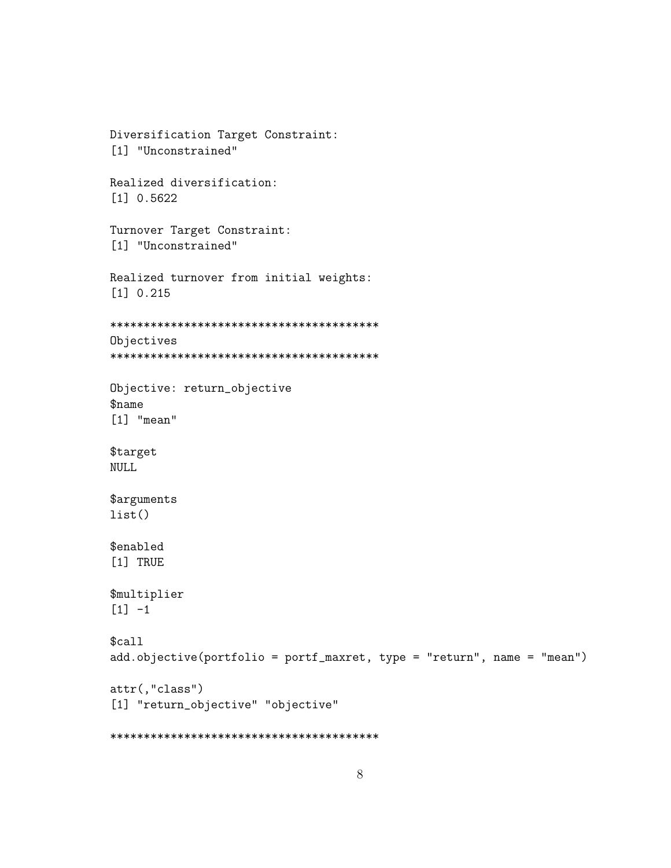```
Diversification Target Constraint:
[1] "Unconstrained"
Realized diversification:
[1] 0.5622Turnover Target Constraint:
[1] "Unconstrained"
Realized turnover from initial weights:
[1] 0.215Objectives
Objective: return_objective
$name
[1] "mean"
$target
NULL
$arguments
list()$enabled
[1] TRUE
$multiplier
[1] -1$cal1add.objective(portfolio = portf_maxret, type = "return", name = "mean")
attr(,"class")[1] "return_objective" "objective"
```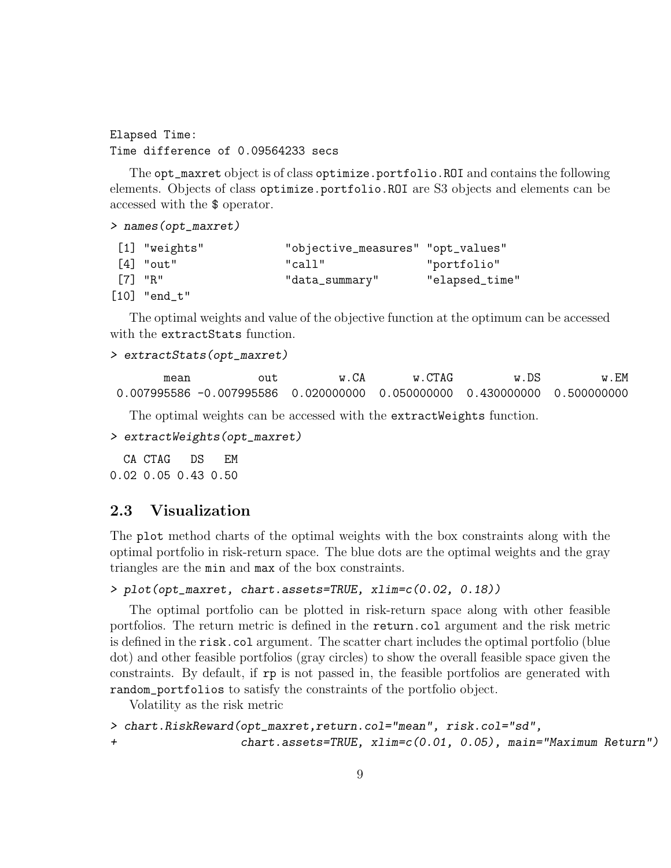Elapsed Time: Time difference of 0.09564233 secs

The opt\_maxret object is of class optimize.portfolio.ROI and contains the following elements. Objects of class optimize.portfolio.ROI are S3 objects and elements can be accessed with the \$ operator.

```
> names(opt_maxret)
```

|        | $[1]$ "weights" | "objective_measures" "opt_values" |                |
|--------|-----------------|-----------------------------------|----------------|
|        | $[4]$ "out"     | "call"                            | "portfolio"    |
| "R" ר7 |                 | "data_summary"                    | "elapsed_time" |
|        | $[10]$ "end_t"  |                                   |                |

The optimal weights and value of the objective function at the optimum can be accessed with the extractStats function.

```
> extractStats(opt_maxret)
```

```
mean out w.CA w.CTAG w.DS w.EM
0.007995586 -0.007995586 0.020000000 0.050000000 0.430000000 0.500000000
```
The optimal weights can be accessed with the extractWeights function.

```
> extractWeights(opt_maxret)
```
CA CTAG DS EM 0.02 0.05 0.43 0.50

### 2.3 Visualization

The plot method charts of the optimal weights with the box constraints along with the optimal portfolio in risk-return space. The blue dots are the optimal weights and the gray triangles are the min and max of the box constraints.

```
> plot(opt_maxret, chart.assets=TRUE, xlim=c(0.02, 0.18))
```
The optimal portfolio can be plotted in risk-return space along with other feasible portfolios. The return metric is defined in the return.col argument and the risk metric is defined in the risk.col argument. The scatter chart includes the optimal portfolio (blue dot) and other feasible portfolios (gray circles) to show the overall feasible space given the constraints. By default, if rp is not passed in, the feasible portfolios are generated with random\_portfolios to satisfy the constraints of the portfolio object.

Volatility as the risk metric

```
> chart.RiskReward(opt_maxret,return.col="mean", risk.col="sd",
+ chart.assets=TRUE, xlim=c(0.01, 0.05), main="Maximum Return")
```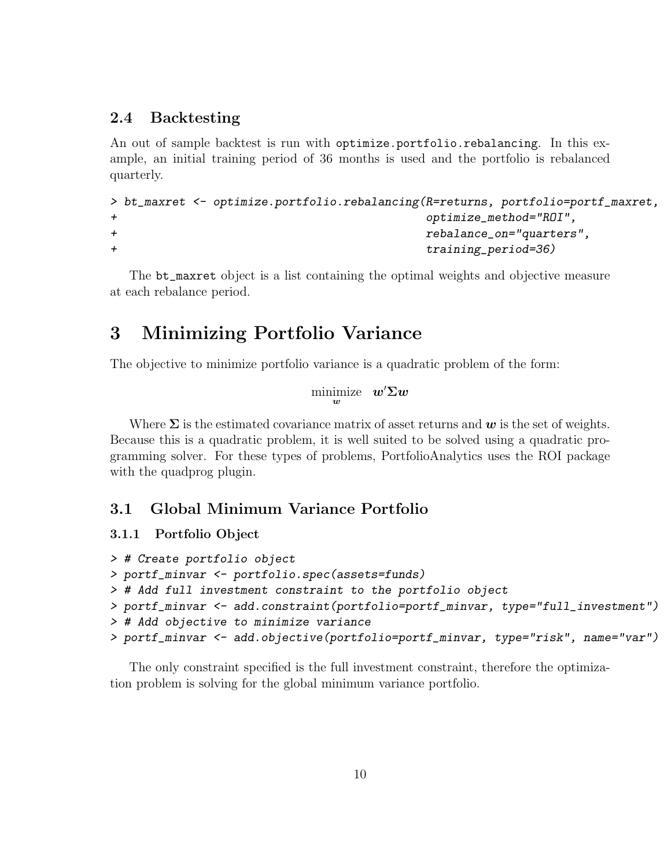#### 2.4 Backtesting

An out of sample backtest is run with optimize.portfolio.rebalancing. In this example, an initial training period of 36 months is used and the portfolio is rebalanced quarterly.

```
> bt_maxret <- optimize.portfolio.rebalancing(R=returns, portfolio=portf_maxret,
+ optimize_method="ROI",
+ rebalance_on="quarters",
+ training_period=36)
```
The bt\_maxret object is a list containing the optimal weights and objective measure at each rebalance period.

## 3 Minimizing Portfolio Variance

The objective to minimize portfolio variance is a quadratic problem of the form:

```
minimize w' \Sigma w
```
Where  $\Sigma$  is the estimated covariance matrix of asset returns and  $w$  is the set of weights. Because this is a quadratic problem, it is well suited to be solved using a quadratic programming solver. For these types of problems, PortfolioAnalytics uses the ROI package with the quadprog plugin.

### 3.1 Global Minimum Variance Portfolio

#### 3.1.1 Portfolio Object

```
> # Create portfolio object
> portf_minvar <- portfolio.spec(assets=funds)
> # Add full investment constraint to the portfolio object
> portf_minvar <- add.constraint(portfolio=portf_minvar, type="full_investment")
> # Add objective to minimize variance
> portf_minvar <- add.objective(portfolio=portf_minvar, type="risk", name="var")
```
The only constraint specified is the full investment constraint, therefore the optimization problem is solving for the global minimum variance portfolio.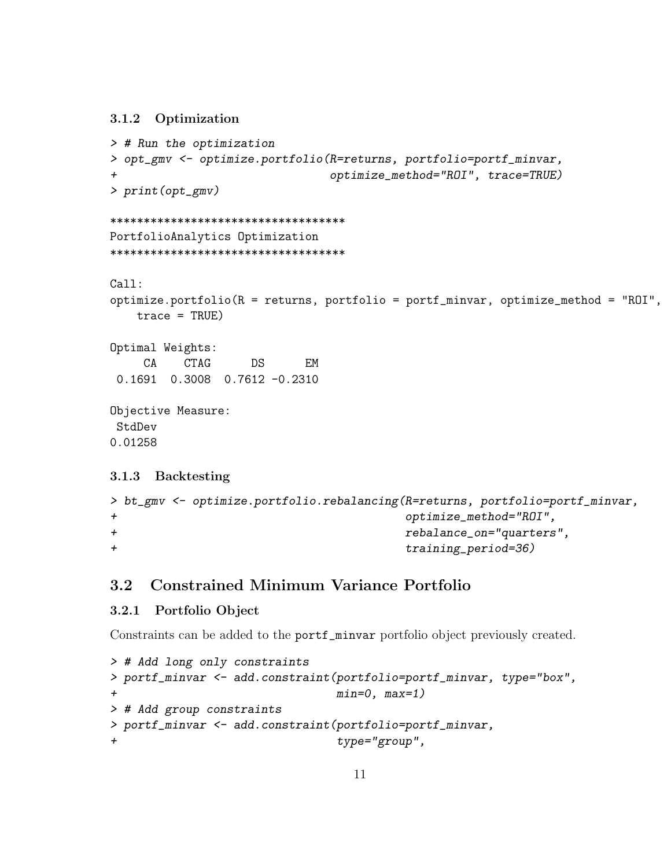#### 3.1.2 Optimization

```
> # Run the optimization
> opt_gmv <- optimize.portfolio(R=returns, portfolio=portf_minvar,
+ optimize_method="ROI", trace=TRUE)
> print(opt_gmv)
***********************************
PortfolioAnalytics Optimization
***********************************
Call:
optimize.portfolio(R = returns, portfolio = portf_minvar, optimize_method = "ROI",
   trace = TRUE)
Optimal Weights:
    CA CTAG DS EM
 0.1691 0.3008 0.7612 -0.2310
Objective Measure:
StdDev
0.01258
3.1.3 Backtesting
> bt_gmv <- optimize.portfolio.rebalancing(R=returns, portfolio=portf_minvar,
```

```
+ optimize_method="ROI",
+ rebalance_on="quarters",
+ training_period=36)
```
### 3.2 Constrained Minimum Variance Portfolio

#### 3.2.1 Portfolio Object

Constraints can be added to the portf\_minvar portfolio object previously created.

```
> # Add long only constraints
> portf_minvar <- add.constraint(portfolio=portf_minvar, type="box",
+ min=0, max=1)
> # Add group constraints
> portf_minvar <- add.constraint(portfolio=portf_minvar,
+ type="group",
```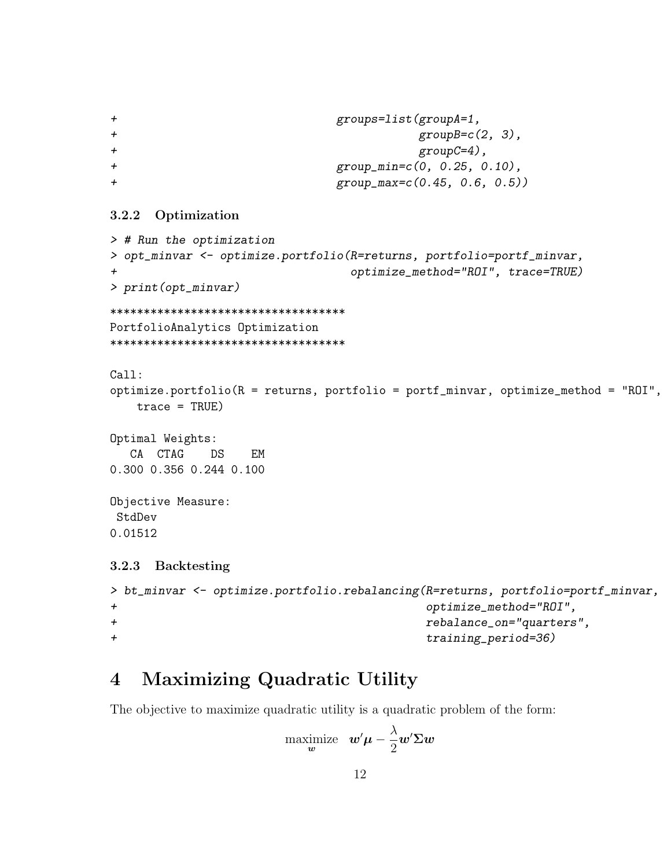```
+ groups=list(groupA=1,
+ group B=c(2, 3),
+ groupC=4),
+ group_min=c(0, 0.25, 0.10),
+ group_max=c(0.45, 0.6, 0.5))
```
#### 3.2.2 Optimization

```
> # Run the optimization
> opt_minvar <- optimize.portfolio(R=returns, portfolio=portf_minvar,
                             + optimize_method="ROI", trace=TRUE)
> print(opt_minvar)
***********************************
PortfolioAnalytics Optimization
***********************************
Call:
optimize.portfolio(R = returns, portfolio = portf_minvar, optimize_method = "ROI",
   trace = TRUE)
Optimal Weights:
  CA CTAG DS EM
0.300 0.356 0.244 0.100
Objective Measure:
StdDev
0.01512
3.2.3 Backtesting
> bt_minvar <- optimize.portfolio.rebalancing(R=returns, portfolio=portf_minvar,
+ optimize_method="ROI",
+ rebalance_on="quarters",
+ training_period=36)
```
# 4 Maximizing Quadratic Utility

The objective to maximize quadratic utility is a quadratic problem of the form:

$$
\begin{array}{ll}\text{maximize} & \boldsymbol{w}'\boldsymbol{\mu}-\frac{\lambda}{2}\boldsymbol{w}'\boldsymbol{\Sigma}\boldsymbol{w} \\ \end{array}
$$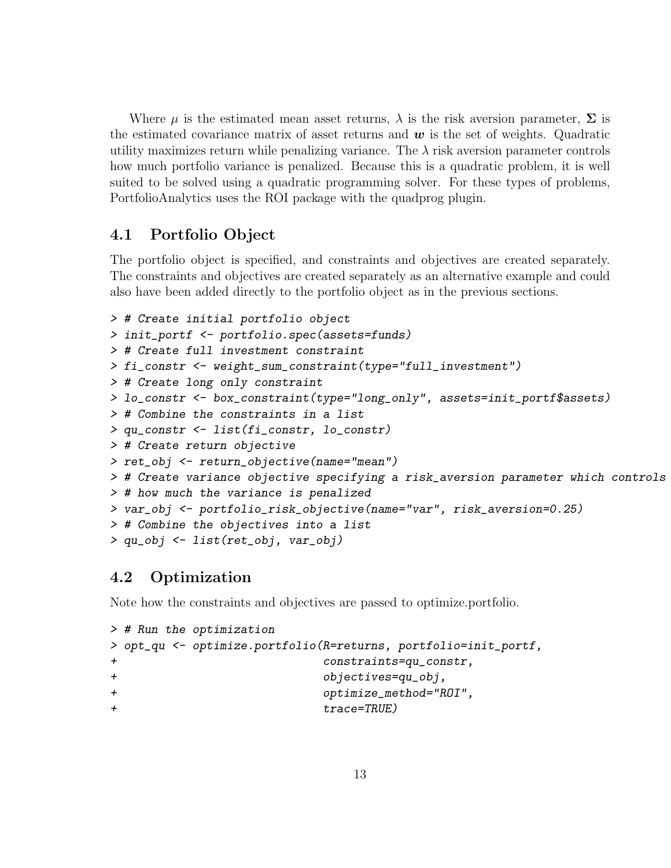Where  $\mu$  is the estimated mean asset returns,  $\lambda$  is the risk aversion parameter,  $\Sigma$  is the estimated covariance matrix of asset returns and  $w$  is the set of weights. Quadratic utility maximizes return while penalizing variance. The  $\lambda$  risk aversion parameter controls how much portfolio variance is penalized. Because this is a quadratic problem, it is well suited to be solved using a quadratic programming solver. For these types of problems, PortfolioAnalytics uses the ROI package with the quadprog plugin.

### 4.1 Portfolio Object

The portfolio object is specified, and constraints and objectives are created separately. The constraints and objectives are created separately as an alternative example and could also have been added directly to the portfolio object as in the previous sections.

```
> # Create initial portfolio object
> init_portf <- portfolio.spec(assets=funds)
> # Create full investment constraint
> fi_constr <- weight_sum_constraint(type="full_investment")
> # Create long only constraint
> lo_constr <- box_constraint(type="long_only", assets=init_portf$assets)
> # Combine the constraints in a list
> qu_constr <- list(fi_constr, lo_constr)
> # Create return objective
> ret_obj <- return_objective(name="mean")
> # Create variance objective specifying a risk_aversion parameter which controls
> # how much the variance is penalized
> var_obj <- portfolio_risk_objective(name="var", risk_aversion=0.25)
> # Combine the objectives into a list
> qu_obj <- list(ret_obj, var_obj)
```
### 4.2 Optimization

Note how the constraints and objectives are passed to optimize.portfolio.

```
> # Run the optimization
> opt_qu <- optimize.portfolio(R=returns, portfolio=init_portf,
+ constraints=qu_constr,
+ objectives=qu_obj,
+ optimize_method="ROI",
+ trace=TRUE)
```